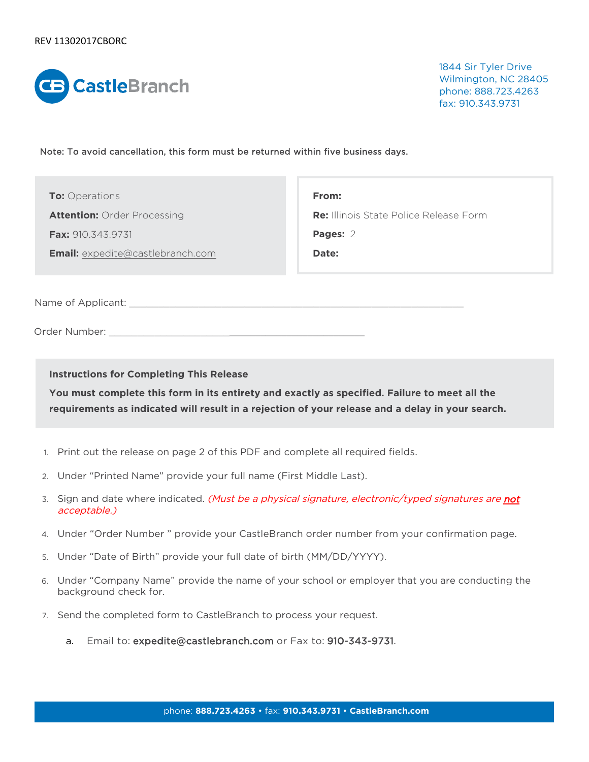

1844 Sir Tyler Drive Wilmington, NC 28405 phone: 888.723.4263 fax: 910.343.9731

Note: To avoid cancellation, this form must be returned within five business days.

| <b>To:</b> Operations |  |
|-----------------------|--|
|-----------------------|--|

**Attention:** Order Processing

**Fax:** 910.343.9731

**Email:** [expedite@castlebranch.com](mailto:expedite@castlebranch.com)

**From: Re:** Illinois State Police Release Form **Pages:**  2

**Date:**

Name of Applicant:  $\Box$ 

Order Number: \_\_\_\_\_\_\_\_\_\_\_\_\_\_\_\_\_\_\_\_\_\_\_\_\_\_\_\_\_\_\_\_\_\_\_\_\_\_\_\_\_\_\_\_\_\_\_

**Instructions for Completing This Release** 

**You must complete this form in its entirety and exactly as specified. Failure to meet all the requirements as indicated will result in a rejection of your release and a delay in your search.**

- 1. Print out the release on page 2 of this PDF and complete all required fields.
- 2. Under "Printed Name" provide your full name (First Middle Last).
- 3. Sign and date where indicated. (Must be a physical signature, electronic/typed signatures are not acceptable.)
- 4. Under "Order Number " provide your CastleBranch order number from your confirmation page.
- 5. Under "Date of Birth" provide your full date of birth (MM/DD/YYYY).
- 6. Under "Company Name" provide the name of your school or employer that you are conducting the background check for.
- 7. Send the completed form to CastleBranch to process your request.
	- a. Email to: expedite@castlebranch.com or Fax to: 910-343-9731.